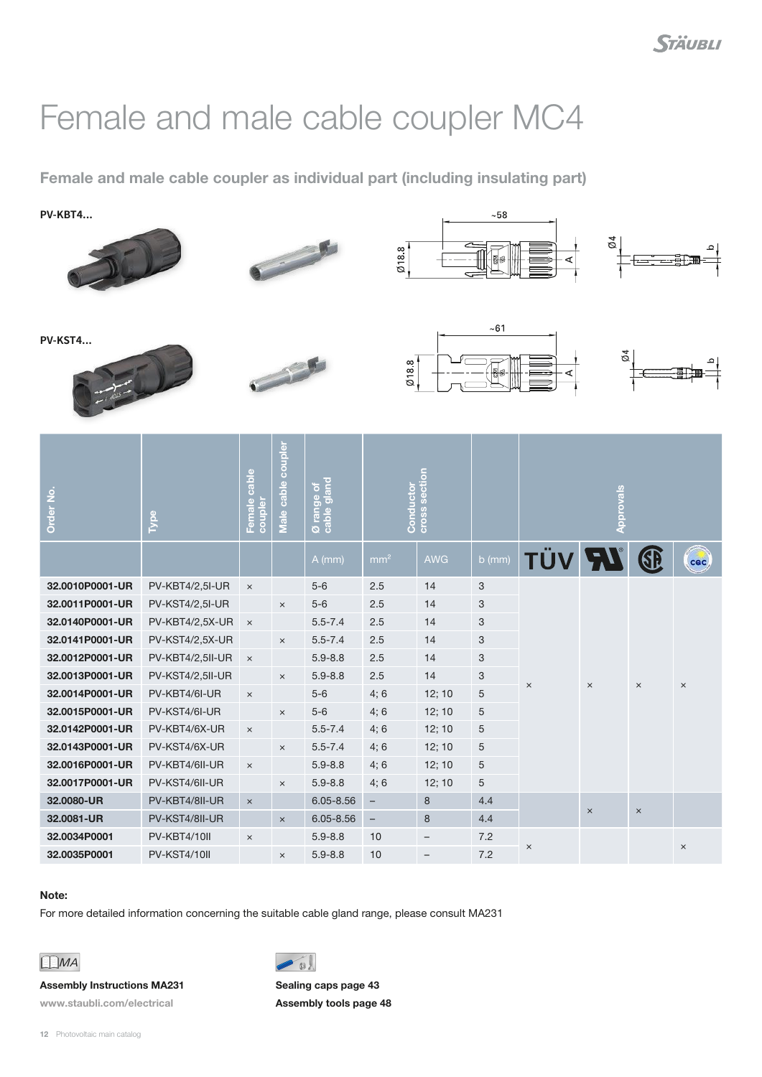## Female and male cable coupler MC4

Female and male cable coupler as individual part (including insulating part)

**PV-KBT4...**















| Order No.       | Type                   | cable<br>Female<br>coupler | cable coupler<br>Male | Ø range of<br>cable gland | Conductor<br>cross section |                          |                           | <b>Approvals</b> |          |          |            |
|-----------------|------------------------|----------------------------|-----------------------|---------------------------|----------------------------|--------------------------|---------------------------|------------------|----------|----------|------------|
|                 |                        |                            |                       | $A$ (mm)                  | mm <sup>2</sup>            | <b>AWG</b>               | $b$ (mm)                  | <b>TÜV RV</b>    |          | GB       | <b>cac</b> |
| 32.0010P0001-UR | <b>PV-KBT4/2,5I-UR</b> | $\times$                   |                       | $5-6$                     | 2.5                        | 14                       | $\mathbf{3}$              | $\times$         | $\times$ | $\times$ | $\times$   |
| 32.0011P0001-UR | PV-KST4/2,5I-UR        |                            | $\times$              | $5-6$                     | 2.5                        | 14                       | $\ensuremath{\mathsf{3}}$ |                  |          |          |            |
| 32.0140P0001-UR | PV-KBT4/2,5X-UR        | $\mathsf{X}$               |                       | $5.5 - 7.4$               | 2.5                        | 14                       | $\mathbf{3}$              |                  |          |          |            |
| 32.0141P0001-UR | PV-KST4/2,5X-UR        |                            | $\times$              | $5.5 - 7.4$               | 2.5                        | 14                       | 3                         |                  |          |          |            |
| 32.0012P0001-UR | PV-KBT4/2,5II-UR       | $\times$                   |                       | $5.9 - 8.8$               | 2.5                        | 14                       | $\ensuremath{\mathsf{3}}$ |                  |          |          |            |
| 32.0013P0001-UR | PV-KST4/2,5II-UR       |                            | $\times$              | $5.9 - 8.8$               | 2.5                        | 14                       | 3                         |                  |          |          |            |
| 32.0014P0001-UR | PV-KBT4/6I-UR          | $\times$                   |                       | $5-6$                     | 4;6                        | 12; 10                   | $\sqrt{5}$                |                  |          |          |            |
| 32.0015P0001-UR | PV-KST4/6I-UR          |                            | $\times$              | $5-6$                     | 4;6                        | 12; 10                   | $\sqrt{5}$                |                  |          |          |            |
| 32.0142P0001-UR | PV-KBT4/6X-UR          | $\times$                   |                       | $5.5 - 7.4$               | 4;6                        | 12; 10                   | $\,$ 5 $\,$               |                  |          |          |            |
| 32.0143P0001-UR | PV-KST4/6X-UR          |                            | $\times$              | $5.5 - 7.4$               | 4;6                        | 12; 10                   | $\sqrt{5}$                |                  |          |          |            |
| 32.0016P0001-UR | PV-KBT4/6II-UR         | $\times$                   |                       | $5.9 - 8.8$               | 4;6                        | 12; 10                   | $\sqrt{5}$                |                  |          |          |            |
| 32.0017P0001-UR | PV-KST4/6II-UR         |                            | $\times$              | $5.9 - 8.8$               | 4;6                        | 12; 10                   | 5                         |                  |          |          |            |
| 32.0080-UR      | PV-KBT4/8II-UR         | $\times$                   |                       | $6.05 - 8.56$             | $\overline{\phantom{a}}$   | $\bf 8$                  | 4.4                       |                  | $\times$ | $\times$ |            |
| 32,0081-UR      | PV-KST4/8II-UR         |                            | $\times$              | $6.05 - 8.56$             | $\overline{\phantom{0}}$   | 8                        | 4.4                       |                  |          |          |            |
| 32.0034P0001    | PV-KBT4/10II           | $\times$                   |                       | $5.9 - 8.8$               | 10                         | $\overline{\phantom{0}}$ | 7.2                       | $\times$         |          |          | $\times$   |
| 32.0035P0001    | PV-KST4/10II           |                            | $\times$              | $5.9 - 8.8$               | 10                         |                          | 7.2                       |                  |          |          |            |

## Note:

For more detailed information concerning the suitable cable gland range, please consult MA231

 $\overline{\phantom{a}}$ 



## Assembly Instructions MA231

www.staubli.com/electrical

Sealing caps page [43](#page--1-0) Assembly tools page [48](#page--1-0)